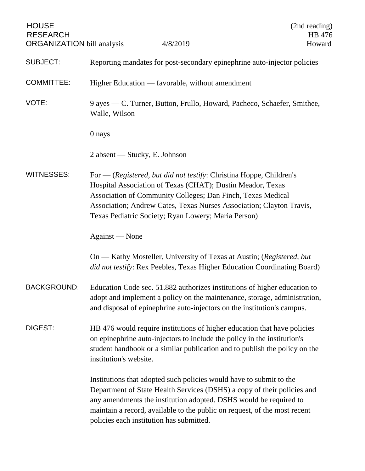| <b>HOUSE</b><br><b>RESEARCH</b><br><b>ORGANIZATION</b> bill analysis | 4/8/2019                                                                                                                                                                                                                                                                                                                                     | (2nd reading)<br>HB 476<br>Howard |
|----------------------------------------------------------------------|----------------------------------------------------------------------------------------------------------------------------------------------------------------------------------------------------------------------------------------------------------------------------------------------------------------------------------------------|-----------------------------------|
| <b>SUBJECT:</b>                                                      | Reporting mandates for post-secondary epinephrine auto-injector policies                                                                                                                                                                                                                                                                     |                                   |
| <b>COMMITTEE:</b>                                                    | Higher Education — favorable, without amendment                                                                                                                                                                                                                                                                                              |                                   |
| VOTE:                                                                | 9 ayes — C. Turner, Button, Frullo, Howard, Pacheco, Schaefer, Smithee,<br>Walle, Wilson                                                                                                                                                                                                                                                     |                                   |
|                                                                      | 0 nays                                                                                                                                                                                                                                                                                                                                       |                                   |
|                                                                      | $2$ absent — Stucky, E. Johnson                                                                                                                                                                                                                                                                                                              |                                   |
| <b>WITNESSES:</b>                                                    | For $-$ (Registered, but did not testify: Christina Hoppe, Children's<br>Hospital Association of Texas (CHAT); Dustin Meador, Texas<br>Association of Community Colleges; Dan Finch, Texas Medical<br>Association; Andrew Cates, Texas Nurses Association; Clayton Travis,<br>Texas Pediatric Society; Ryan Lowery; Maria Person)            |                                   |
|                                                                      | Against — None                                                                                                                                                                                                                                                                                                                               |                                   |
|                                                                      | On — Kathy Mosteller, University of Texas at Austin; (Registered, but<br>did not testify: Rex Peebles, Texas Higher Education Coordinating Board)                                                                                                                                                                                            |                                   |
| <b>BACKGROUND:</b>                                                   | Education Code sec. 51.882 authorizes institutions of higher education to<br>adopt and implement a policy on the maintenance, storage, administration,<br>and disposal of epinephrine auto-injectors on the institution's campus.                                                                                                            |                                   |
| DIGEST:                                                              | HB 476 would require institutions of higher education that have policies<br>on epinephrine auto-injectors to include the policy in the institution's<br>student handbook or a similar publication and to publish the policy on the<br>institution's website.                                                                                 |                                   |
|                                                                      | Institutions that adopted such policies would have to submit to the<br>Department of State Health Services (DSHS) a copy of their policies and<br>any amendments the institution adopted. DSHS would be required to<br>maintain a record, available to the public on request, of the most recent<br>policies each institution has submitted. |                                   |